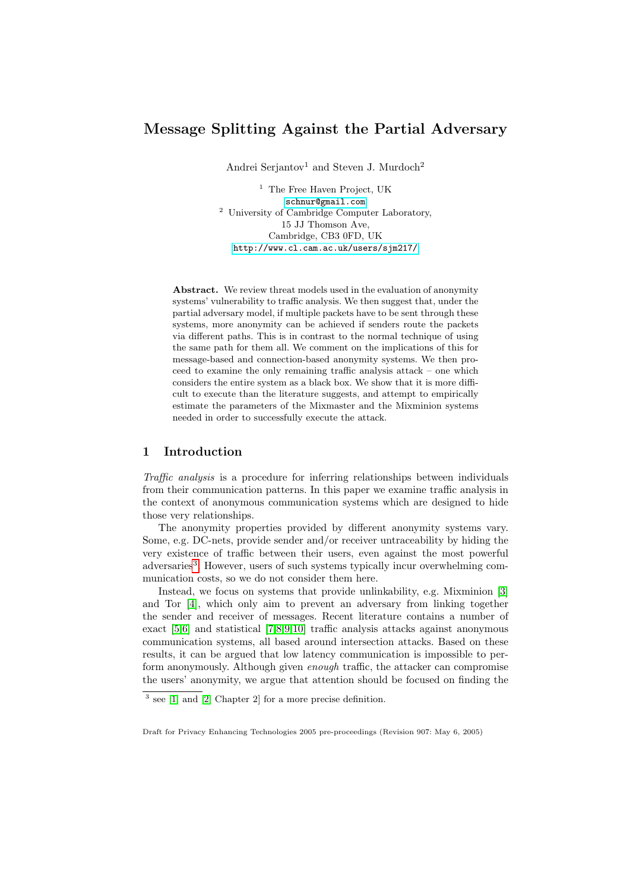# Mess[age Splitting](mailto:schnur@gmail.com) Against the Partial Adversary

Andrei Serjantov<sup>1</sup> and Steven J. Murdoch<sup>2</sup>

 $<sup>1</sup>$  [The Free Ha](http://www.cl.cam.ac.uk/users/sjm217/)ven Project, UK</sup> schnur@gmail.com <sup>2</sup> University of Cambridge Computer Laboratory, 15 JJ Thomson Ave, Cambridge, CB3 0FD, UK http://www.cl.cam.ac.uk/users/sjm217/

Abstract. We review threat models used in the evaluation of anonymity systems' vulnerability to traffic analysis. We then suggest that, under the partial adversary model, if multiple packets have to be sent through these systems, more anonymity can be achieved if senders route the packets via different paths. This is in contrast to the normal technique of using the same path for them all. We comment on the implications of this for message-based and connection-based anonymity systems. We then proceed to examine the only remaining traffic analysis attack – one which considers the entire system as a black box. We show that it is more difficult to execute than the literature suggests, and attempt to empirically estimate the parameters of the Mixmaster and the Mixminion systems needed in order to successfully execute the attack.

## 1 Introduction

Traffic analysis is a procedure for inferring relationships between individuals from their communication patterns. In this paper we examine traffic analysis in the context of anonymous communication systems which are designed to hide those very relationships.

The anonymity properties provided by different a[non](#page-13-0)ymity systems vary. Some, e.g. DC-nets, provide sender and/or receiver untraceability by hiding the very existence of traffic between their users, even against the most powerful adver[sa](#page-13-1)[ri](#page-13-2)[es](#page-14-0)<sup>3</sup>[. H](#page-14-1)owever, users of such systems typically incur overwhelming communication costs, so we do not consider them here.

Instead, we focus on systems that provide unlinkability, e.g. Mixminion [3] and Tor [4], which only aim to prevent an adversary from linking together the sender and receiver of messages. Recent literature contains a number of exact [5,6] and statistical [7,8,9,10] traffic analysis attacks against anonymous communication systems, all based around intersection attacks. Based on these results, it can be argued that low latency communication is impossible to perform anonymously. Although given enough traffic, the attacker can compromise the users' anonymity, we argue that attention should be focused on finding the

<sup>3</sup> see [1] and [2, Chapter 2] for a more precise definition.

Draft for Privacy Enhancing Technologies 2005 pre-proceedings (Revision 907: May 6, 2005)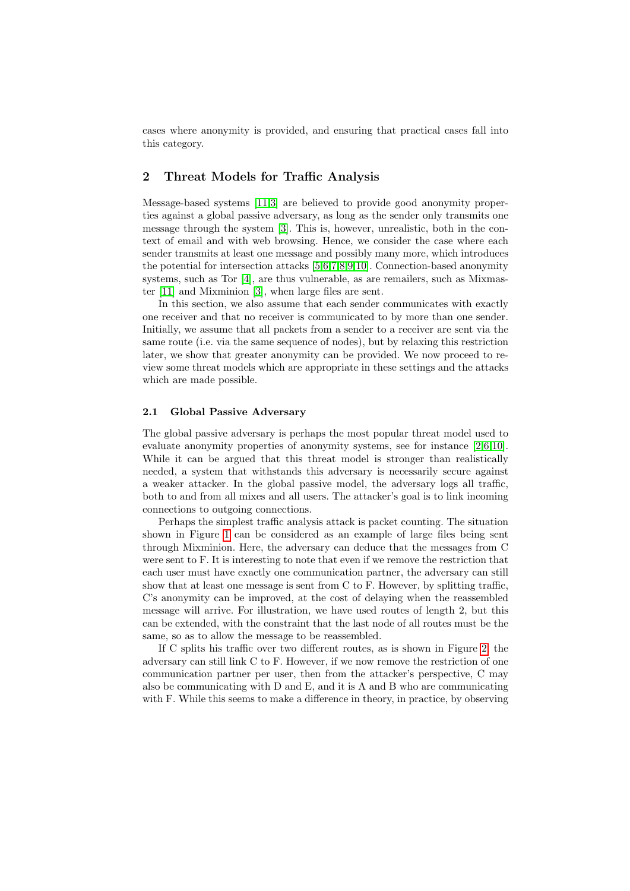cas[es](#page-14-2) [wh](#page-13-0)ere anonymity is provided, and ensuring that practical cases fall into this category.

## 2 Threat Models for Traffic Analysis

Message-based [sy](#page-13-3)[st](#page-13-4)[e](#page-13-1)[ms](#page-13-2) [\[](#page-14-0)[11,](#page-14-1)3] are believed to provide good anonymity proper[tie](#page-13-5)s against a global passive adversary, as long as the sender only transmits one me[ssa](#page-13-0)ge through the system [3]. This is, however, unrealistic, both in the context of email and with web browsing. Hence, we consider the case where each sender transmits at least one message and possibly many more, which introduces the potential for intersection attacks [5,6,7,8,9,10]. Connection-based anonymity systems, such as Tor [4], are thus vulnerable, as are remailers, such as Mixmaster [11] and Mixminion [3], when large files are sent.

In this section, we also assume that each sender communicates with exactly one receiver and that no receiver is communicated to by more than one sender. Initially, we assume that all packets from a sender to a receiver are sent via the same route (i.e. via the same sequence of nodes), but by relaxing this restriction later, we show that greater anonymity can be provided. We now proceed to review some threat models which are appropriate in these settings and the attacks which are made possible.

### 2.1 Global Passive Adversary

The global passive adversary is perhaps the most popular threat model used to evaluate anonymity properties of anonymity systems, see for instance [2,6,10]. While it can be argued that this threat model is stronger than realistically needed, a system that withstands this adversary is necessarily secure against a weaker attacker. In the global passive model, the adversary logs all traffic, both to and from all mixes and all users. The attacker's goal is to link incoming connections to outgoing connections.

Perhaps the simplest traffic analysis attack is packet counting. The situation shown in Figure 1 can be considered as an example of large files being sent through Mixminion. Here, the adversary can deduce that the messages from C were sent to F. It is interesting to note that even if we remove the restriction that each user must have exactly one communication partner, the adversary can still show that at least one message is sent from C to F. [Ho](#page-2-0)wever, by splitting traffic, C's anonymity can be improved, at the cost of delaying when the reassembled message will arrive. For illustration, we have used routes of length 2, but this can be extended, with the constraint that the last node of all routes must be the same, so as to allow the message to be reassembled.

If C splits his traffic over two different routes, as is shown in Figure 2, the adversary can still link C to F. However, if we now remove the restriction of one communication partner per user, then from the attacker's perspective, C may also be communicating with D and E, and it is A and B who are communicating with F. While this seems to make a difference in theory, in practice, by observing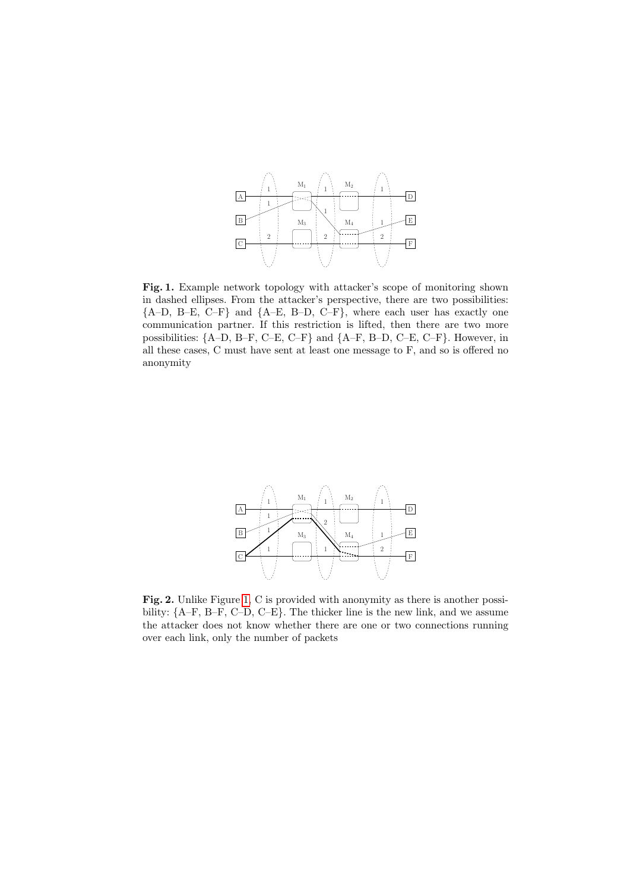

Fig. 1. Example network topology with attacker's scope of monitoring shown in dashed ellipses. From the attacker's perspective, there are two possibilities: {A–D, B–E, C–F} and {A–E, B–D, C–F}, where each user has exactly one communication partner. If this restriction is lifted, then there are two more possibilities: {A–D, B–F, C–E, C–F} and {A–F, B–D, C–E, C–F}. However, in all these cases, C must have sent at least one message to F, and so is offered no anonymity



<span id="page-2-0"></span>Fig. 2. Unlike Figure 1, C is provided with anonymity as there is another possibility: {A–F, B–F, C–D, C–E}. The thicker line is the new link, and we assume the attacker does not know whether there are one or two connections running over each link, only the number of packets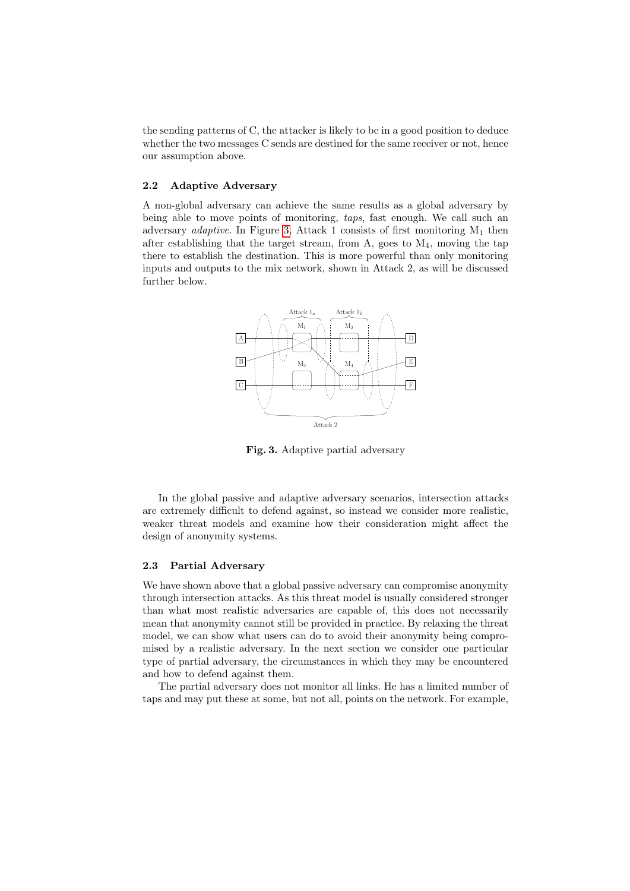the sending patterns of C, the attacker is likely to be in a good position to deduce whether the two messages C sends are destined for the same receiver or not, hence our assu[mp](#page-3-0)tion above.

### 2.2 Adaptive Adversary

A non-global adversary can achieve the same results as a global adversary by being able to move points of monitoring, taps, fast enough. We call such an adversary *adaptive*. In Figure 3, Attack 1 consists of first monitoring  $M_1$  then after establishing that the target stream, from A, goes to  $M_4$ , moving the tap there to establish the destination. This is more powerful than only monitoring inputs and outputs to the mix network, shown in Attack 2, as will be discussed further below.

<span id="page-3-0"></span>

Fig. 3. Adaptive partial adversary

In the global passive and adaptive adversary scenarios, intersection attacks are extremely difficult to defend against, so instead we consider more realistic, weaker threat models and examine how their consideration might affect the design of anonymity systems.

### 2.3 Partial Adversary

We have shown above that a global passive adversary can compromise anonymity through intersection attacks. As this threat model is usually considered stronger than what most realistic adversaries are capable of, this does not necessarily mean that anonymity cannot still be provided in practice. By relaxing the threat model, we can show what users can do to avoid their anonymity being compromised by a realistic adversary. In the next section we consider one particular type of partial adversary, the circumstances in which they may be encountered and how to defend against them.

The partial adversary does not monitor all links. He has a limited number of taps and may put these at some, but not all, points on the network. For example,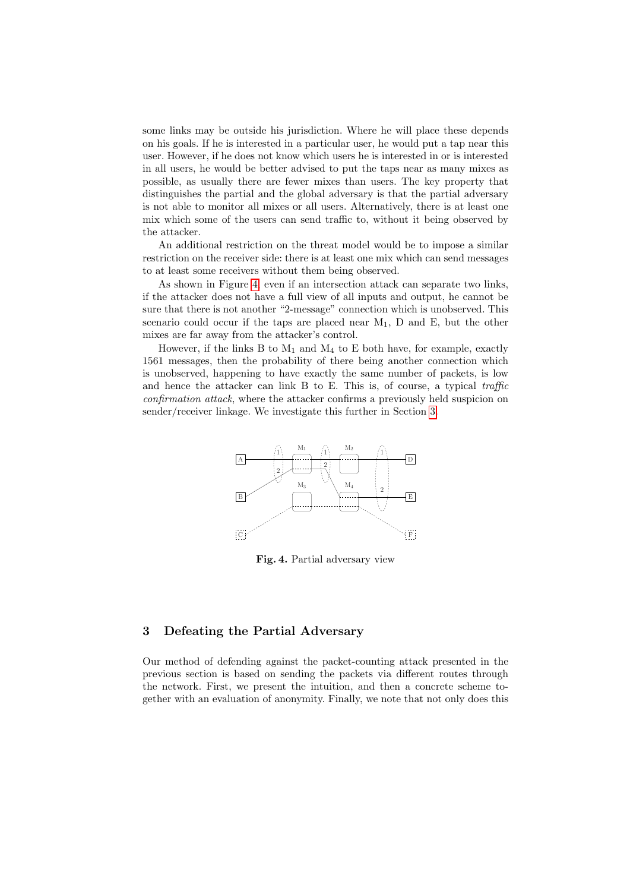some links may be outside his jurisdiction. Where he will place these depends on his goals. If he is interested in a particular user, he would put a tap near this user. However, if he does not know which users he is interested in or is interested in all users, he would be better advised to put the taps near as many mixes as possible, as usually there are fewer mixes than users. The key property that distinguishes the partial and the global adversary is that the partial adversary is not able to monitor all mixes or all users. Alternatively, there is at least one mi[x](#page-4-0) which some of the users can send traffic to, without it being observed by the attacker.

An additional restriction on the threat model would be to impose a similar restriction on the receiver side: there is at least one mix which can send messages to at least some receivers without them being observed.

As shown in Figure 4, even if an intersection attack can separate two links, if the attacker does not have a full view of all inputs and output, he cannot be sure that there is not another "2-message" connection which is unobserved. This scenario could occur if the taps are placed near  $M_1$ ,  $D$  and  $E$ , but the other mixes are far away from the attacker's c[ont](#page-4-1)rol.

However, if the links B to  $M_1$  and  $M_4$  to E both have, for example, exactly 1561 messages, then the probability of there being another connection which is unobserved, happening to have exactly the same number of packets, is low and hence the attacker can link B to E. This is, of course, a typical traffic confirmation attack, where the attacker confirms a previously held suspicion on sender/receiver linkage. We investigate this further in Section 3.

<span id="page-4-0"></span>

Fig. 4. Partial adversary view

## <span id="page-4-1"></span>3 Defeating the Partial Adversary

Our method of defending against the packet-counting attack presented in the previous section is based on sending the packets via different routes through the network. First, we present the intuition, and then a concrete scheme together with an evaluation of anonymity. Finally, we note that not only does this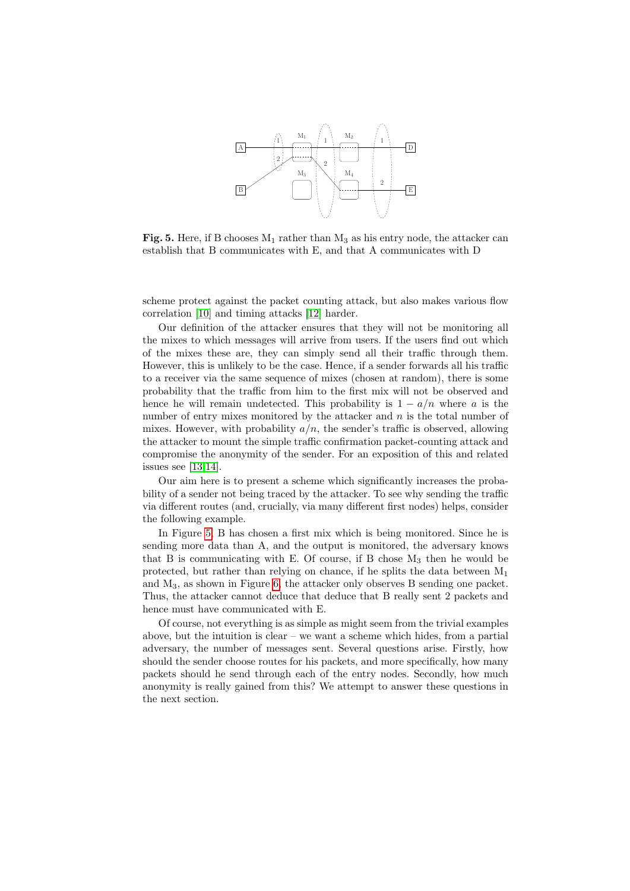

Fig. 5. Here, if B chooses  $M_1$  rather than  $M_3$  as his entry node, the attacker can establish that [B c](#page-14-3)ommunicates with E, and that A communicates with D

scheme protect against the packet counting attack, but also makes various flow correlation [10] and timing attacks [12] harder.

Our definition of the attacker ensures that they will not be monitoring all the mixes to which messages will arrive from users. If the users find out which of the mixes these are, they can simply send all their traffic through them. However, this is unlikely to be the case. Hence, if a sender forwards all his traffic to a receiver via the same sequence of mixes (chosen at random), there is some probability that the traffic from him to the first mix will not be observed and hence he will remain undetected. This probability is  $1 - a/n$  where a is the number of entry mixes monitored by the attacker and  $n$  is the total number of mixes. However, with probability  $a/n$ , the sender's traffic is observed, allowing the attacker to mount the simple traffic confirmation packet-counting attack and compromise the anonymity of the sender. For an exposition of this and related issues see [13,14].

Our aim here is to present a scheme which significantly increases the probability of a sender not being traced by the attacker. To see why sending the traffic via different routes (and, crucially, via many different first nodes) helps, consider the fol[low](#page-6-0)ing example.

In Figure 5, B has chosen a first mix which is being monitored. Since he is sending more data than A, and the output is monitored, the adversary knows that B is communicating with E. Of course, if B chose  $M_3$  then he would be protected, but rather than relying on chance, if he splits the data between  $M_1$ and M3, as shown in Figure 6, the attacker only observes B sending one packet. Thus, the attacker cannot deduce that deduce that B really sent 2 packets and hence must have communicated with E.

Of course, not everything is as simple as might seem from the trivial examples above, but the intuition is clear – we want a scheme which hides, from a partial adversary, the number of messages sent. Several questions arise. Firstly, how should the sender choose routes for his packets, and more specifically, how many packets should he send through each of the entry nodes. Secondly, how much anonymity is really gained from this? We attempt to answer these questions in the next section.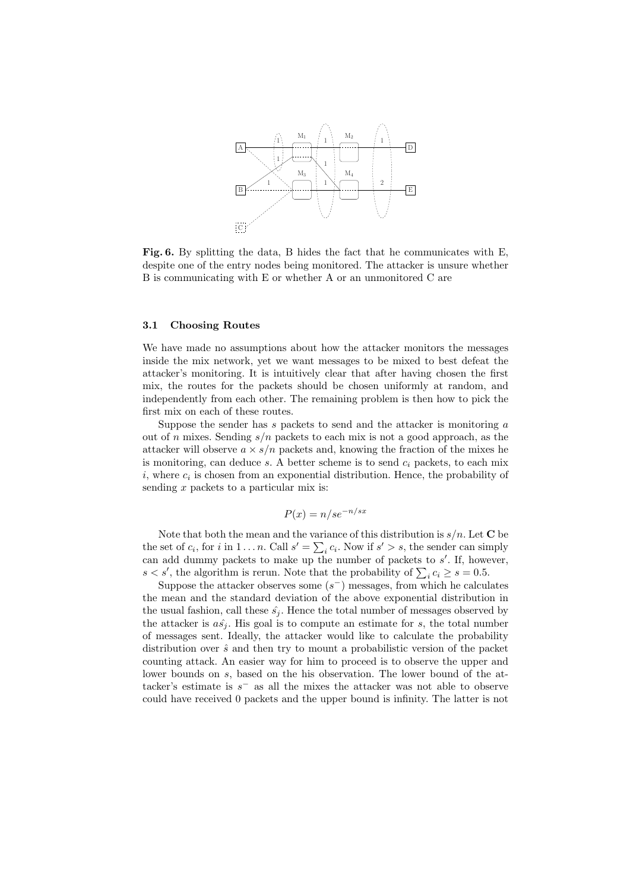

<span id="page-6-0"></span>Fig. 6. By splitting the data, B hides the fact that he communicates with E, despite one of the entry nodes being monitored. The attacker is unsure whether B is communicating with E or whether A or an unmonitored C are

#### 3.1 Choosing Routes

We have made no assumptions about how the attacker monitors the messages inside the mix network, yet we want messages to be mixed to best defeat the attacker's monitoring. It is intuitively clear that after having chosen the first mix, the routes for the packets should be chosen uniformly at random, and independently from each other. The remaining problem is then how to pick the first mix on each of these routes.

Suppose the sender has s packets to send and the attacker is monitoring  $a$ out of n mixes. Sending  $s/n$  packets to each mix is not a good approach, as the attacker will observe  $a \times s/n$  packets and, knowing the fraction of the mixes he is monitoring, can deduce s. A better scheme is to send  $c_i$  packets, to each mix  $i$ , where  $c_i$  is chosen from an exponential distribution. Hence, the probability of sending  $x$  packets to a particular mix is:

$$
P(x) = n/sec^{-n/sx}
$$

Note that both the mean and the variance of this distribution is  $s/n$ . Let **C** be the set of  $c_i$ , for i in  $1 \dots n$ . Call  $s' = \sum_i c_i$ . Now if  $s' > s$ , the sender can simply can add dummy packets to make up the number of packets to  $s'$ . If, however,  $s < s'$ , the algorithm is rerun. Note that the probability of  $\sum_i c_i \geq s = 0.5$ .

Suppose the attacker observes some  $(s^-)$  messages, from which he calculates the mean and the standard deviation of the above exponential distribution in the usual fashion, call these  $\hat{s}_i$ . Hence the total number of messages observed by the attacker is  $a\hat{s}_i$ . His goal is to compute an estimate for s, the total number of messages sent. Ideally, the attacker would like to calculate the probability distribution over  $\hat{s}$  and then try to mount a probabilistic version of the packet counting attack. An easier way for him to proceed is to observe the upper and lower bounds on s, based on the his observation. The lower bound of the attacker's estimate is  $s^-$  as all the mixes the attacker was not able to observe could have received 0 packets and the upper bound is infinity. The latter is not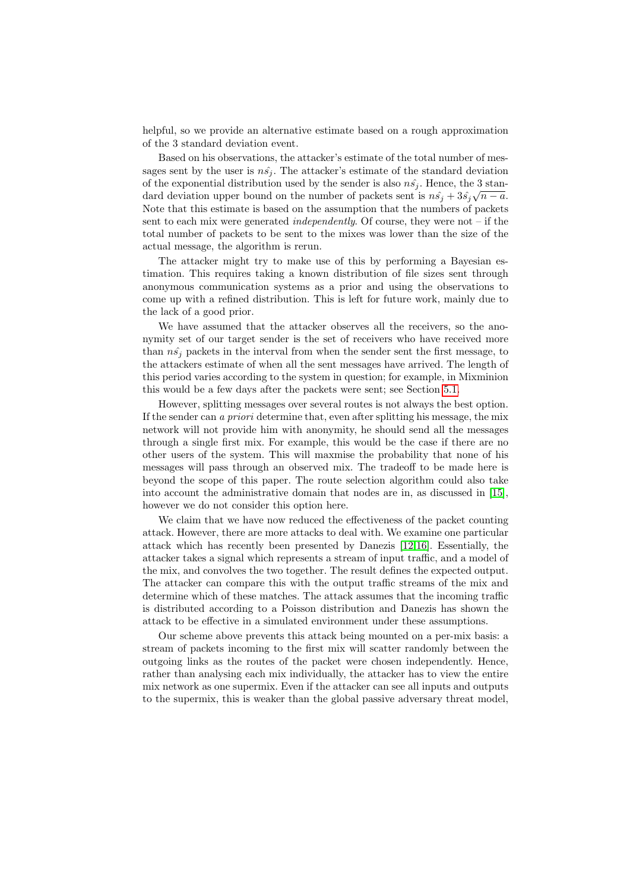helpful, so we provide an alternative estimate based on a rough approximation of the 3 standard deviation event.

Based on his observations, the attacker's estimate of the total number of messages sent by the user is  $n\hat{s}_i$ . The attacker's estimate of the standard deviation of the exponential distribution used by the sender is also  $n\hat{s}_j$ . Hence, the 3 standard deviation upper bound on the number of packets sent is  $n\hat{s}_j + 3\hat{s}_j\sqrt{n-a}$ . Note that this estimate is based on the assumption that the numbers of packets sent to each mix were generated *independently*. Of course, they were not – if the total number of packets to be sent to the mixes was lower than the size of the actual message, the algorithm is rerun.

The attacker might try to make use of this by performing a Bayesian estimation. This requires taking a known distribution of file sizes sent through anonymous communication systems as a prior and using the observations to come up with a refined distribution. This is left for future work, mainly due to the lack of a good prior.

We have assumed that the attacker ob[serve](#page-10-0)s all the receivers, so the anonymity set of our target sender is the set of receivers who have received more than  $n\hat{s}_j$  packets in the interval from when the sender sent the first message, to the attackers estimate of when all the sent messages have arrived. The length of this period varies according to the system in question; for example, in Mixminion this would be a few days after the packets were sent; see Section 5.1.

However, splitting messages over several routes is not always the best option. If the sender can a priori determine that, even after splitting his message, the mix network will not provide him with anonymity, he sho[uld](#page-14-4) send all the messages through a single first mix. For example, this would be the case if there are no other users of the system. This will maxmise the probability that none of his messages will pass through an observed mix. The tradeoff to be made here is beyond the scope of this paper. T[he](#page-14-3) [rou](#page-14-5)te selection algorithm could also take into account the administrative domain that nodes are in, as discussed in [15], however we do not consider this option here.

We claim that we have now reduced the effectiveness of the packet counting attack. However, there are more attacks to deal with. We examine one particular attack which has recently been presented by Danezis [12,16]. Essentially, the attacker takes a signal which represents a stream of input traffic, and a model of the mix, and convolves the two together. The result defines the expected output. The attacker can compare this with the output traffic streams of the mix and determine which of these matches. The attack assumes that the incoming traffic is distributed according to a Poisson distribution and Danezis has shown the attack to be effective in a simulated environment under these assumptions.

Our scheme above prevents this attack being mounted on a per-mix basis: a stream of packets incoming to the first mix will scatter randomly between the outgoing links as the routes of the packet were chosen independently. Hence, rather than analysing each mix individually, the attacker has to view the entire mix network as one supermix. Even if the attacker can see all inputs and outputs to the supermix, this is weaker than the global passive adversary threat model,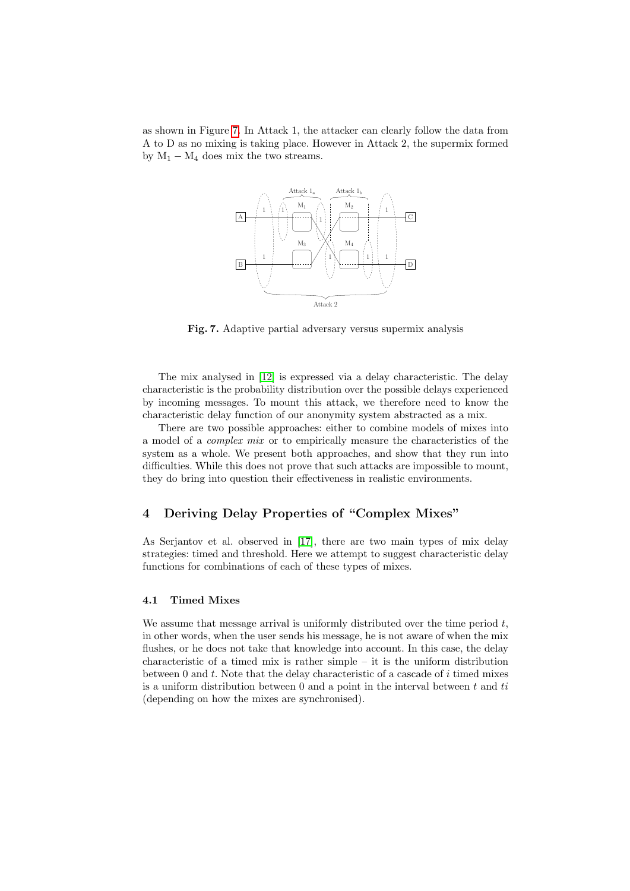as shown in Figure 7. In Attack 1, the attacker can clearly follow the data from A to D as no mixing is taking place. However in Attack 2, the supermix formed by  $M_1 - M_4$  does mix the two streams.



Fig. 7. Adaptive partial adversary versus supermix analysis

The mix analysed in [12] is expressed via a delay characteristic. The delay characteristic is the probability distribution over the possible delays experienced by incoming messages. To mount this attack, we therefore need to know the characteristic delay function of our anonymity system abstracted as a mix.

There are two possible approaches: either to combine models of mixes into a model of a complex mix or to empirically measure the characteristics of the system as a whole. We present both approaches, and show that they run into difficulties. While this does not prove that such attacks are impossible to mount, they do brin[g in](#page-14-6)to question their effectiveness in realistic environments.

## 4 Deriving Delay Properties of "Complex Mixes"

As Serjantov et al. observed in [17], there are two main types of mix delay strategies: timed and threshold. Here we attempt to suggest characteristic delay functions for combinations of each of these types of mixes.

### 4.1 Timed Mixes

We assume that message arrival is uniformly distributed over the time period  $t$ , in other words, when the user sends his message, he is not aware of when the mix flushes, or he does not take that knowledge into account. In this case, the delay characteristic of a timed mix is rather simple – it is the uniform distribution between 0 and  $t$ . Note that the delay characteristic of a cascade of  $i$  timed mixes is a uniform distribution between  $0$  and a point in the interval between  $t$  and  $ti$ (depending on how the mixes are synchronised).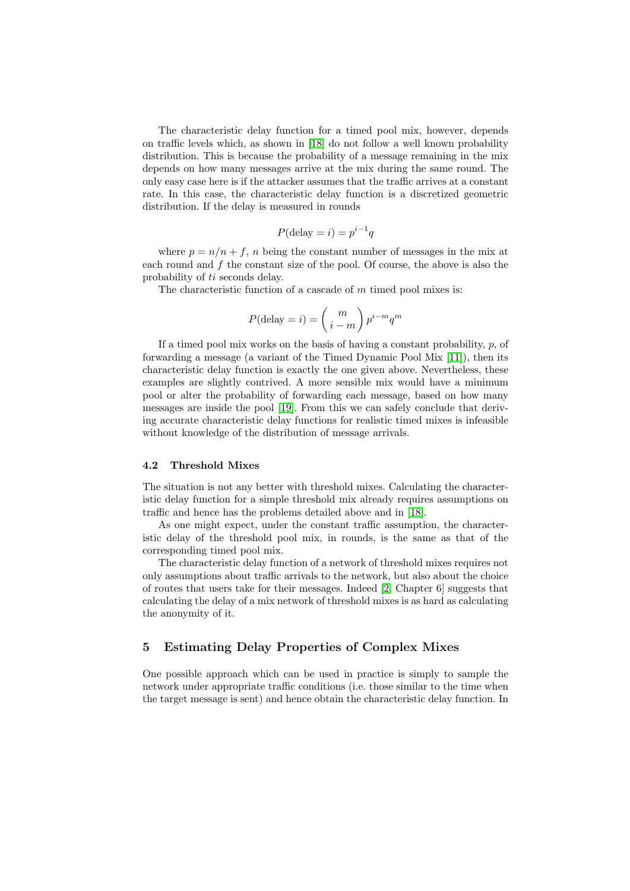The characteristic delay function for a timed pool mix, however, depends on traffic levels which, as shown in [18] do not follow a well known probability distribution. This is because the probability of a message remaining in the mix depends on how many messages arrive at the mix during the same round. The only easy case here is if the attacker assumes that the traffic arrives at a constant rate. In this case, the characteristic delay function is a discretized geometric distribution. If the delay is measured in rounds

$$
P(\text{delay} = i) = p^{i-1}q
$$

where  $p = n/n + f$ , n being the constant number of messages in the mix at each round and  $f$  the constant size of the pool. Of course, the above is also the probability of ti seconds delay.

The characteristic function of a cascade of [m](#page-14-2) timed pool mixes is:

$$
P(\text{delay} = i) = {m \choose i-m} p^{i-m} q^m
$$

If a t[ime](#page-14-7)d pool mix works on the basis of having a constant probability,  $p$ , of forwarding a message (a variant of the Timed Dynamic Pool Mix [11]), then its characteristic delay function is exactly the one given above. Nevertheless, these examples are slightly contrived. A more sensible mix would have a minimum pool or alter the probability of forwarding each message, based on how many messages are inside the pool [19]. From this we can safely conclude that deriving accurate characteristic delay functions for realistic timed mixes is infeasible without knowledge of the distribution of message arrivals.

### 4.2 Threshold Mixes

The situation is not any better with threshold mixes. Calculating the characteristic delay function for a simple threshold mix already requires assumptions on traffic and hence has the problems detailed above and in [18].

As one might expect, unde[r t](#page-13-6)he constant traffic assumption, the characteristic delay of the threshold pool mix, in rounds, is the same as that of the corresponding timed pool mix.

The characteristic delay function of a network of threshold mixes requires not only assumptions about traffic arrivals to the network, but also about the choice of routes that users take for their messages. Indeed [2, Chapter 6] suggests that calculating the delay of a mix network of threshold mixes is as hard as calculating the anonymity of it.

### 5 Estimating Delay Properties of Complex Mixes

One possible approach which can be used in practice is simply to sample the network under appropriate traffic conditions (i.e. those similar to the time when the target message is sent) and hence obtain the characteristic delay function. In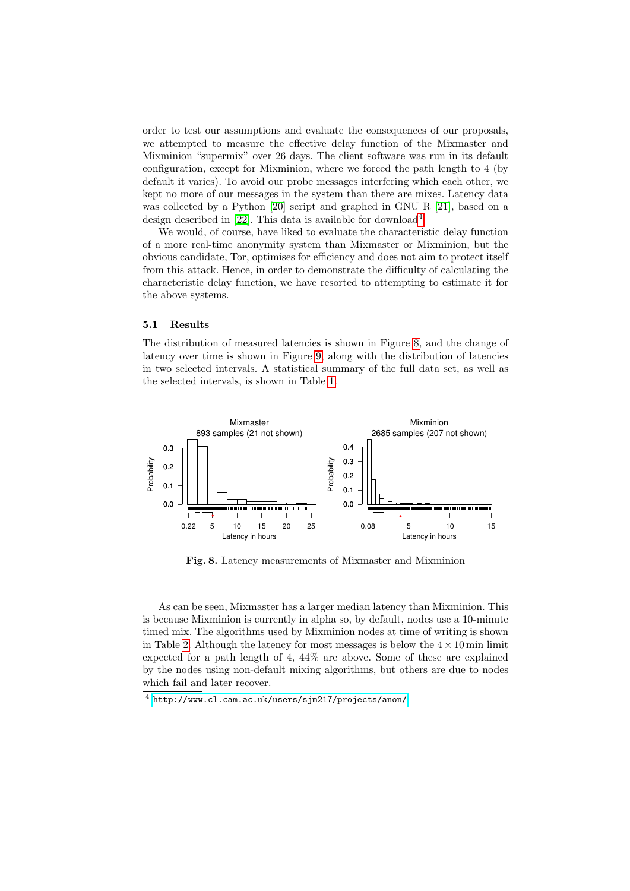order to test our assumptions and evaluate the consequences of our proposals, we att[emp](#page-14-8)ted to measure the effective d[elay](#page-14-9) function of the Mixmaster and [M](#page-14-10)ixminion "supermix" over 26 days. [Th](#page-10-1)e client software was run in its default configuration, except for Mixminion, where we forced the path length to 4 (by default it varies). To avoid our probe messages interfering which each other, we kept no more of our messages in the system than there are mixes. Latency data was collected by a Python [20] script and graphed in GNU R [21], based on a design described in [22]. This data is available for download<sup>4</sup>.

<span id="page-10-0"></span>We would, of course, have liked to evaluate the characteristic delay function of a more real-time anonymity system than Mixmaster or Mixminion, but the obvious candidate, Tor, optimises for efficiency and does not aim to protect itself from this attack. Hence, in order to d[em](#page-10-2)onstrate the difficulty of calculating the characteristic d[ela](#page-11-0)y function, we have resorted to attempting to estimate it for the above systems.

### 5.1 Results

The distribution of measured latencies is shown in Figure 8, and the change of latency over time is shown in Figure 9, along with the distribution of latencies in two selected intervals. A statistical summary of the full data set, as well as the selected intervals, is shown in Table 1.

<span id="page-10-2"></span>

Fig. 8. Latency measurements of Mixmaster and Mixminion

<span id="page-10-1"></span>As can be seen, Mixmaster has a larger median latency than Mixminion. This is because Mixminion is currently in alpha so, by default, nodes use a 10-minute [timed mix. The algorithms used by M](http://www.cl.cam.ac.uk/users/sjm217/projects/anon/)ixminion nodes at time of writing is shown in Table 2. Although the latency for most messages is below the  $4 \times 10$  min limit expected for a path length of 4, 44% are above. Some of these are explained by the nodes using non-default mixing algorithms, but others are due to nodes which fail and later recover.

<sup>4</sup> http://www.cl.cam.ac.uk/users/sjm217/projects/anon/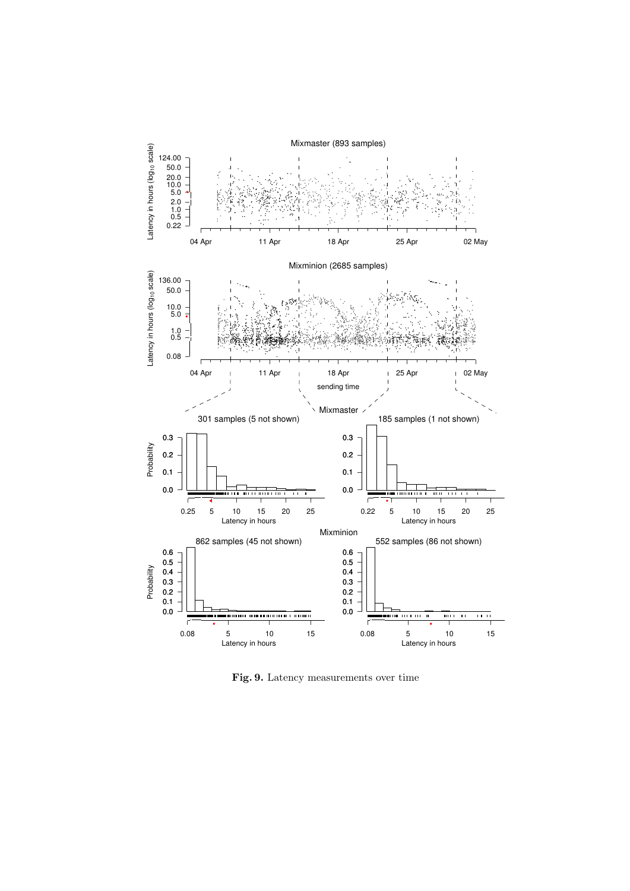

<span id="page-11-0"></span>Fig. 9. Latency measurements over time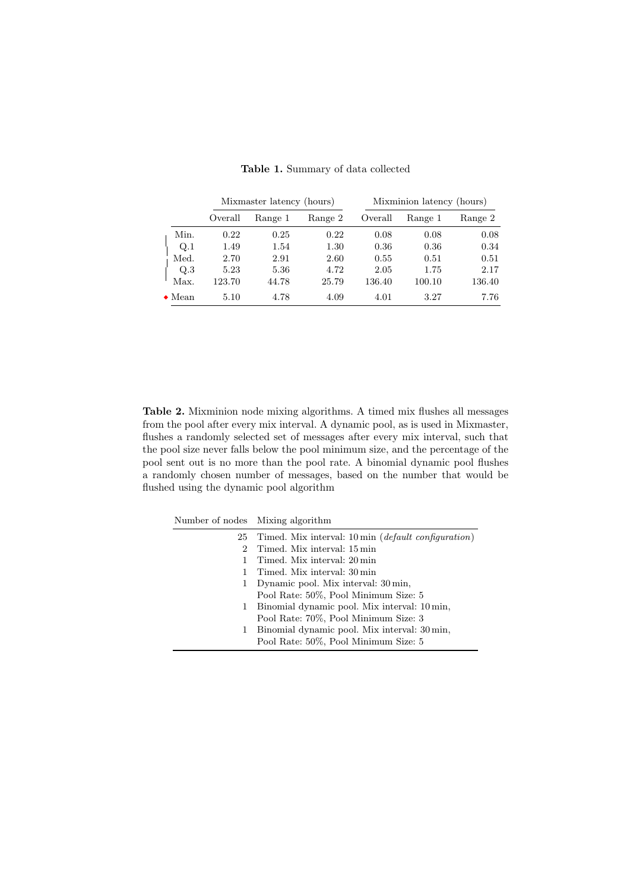|                | Mixmaster latency (hours) |         |         | Mixminion latency (hours) |         |         |
|----------------|---------------------------|---------|---------|---------------------------|---------|---------|
|                | Overall                   | Range 1 | Range 2 | Overall                   | Range 1 | Range 2 |
| Min.           | 0.22                      | 0.25    | 0.22    | 0.08                      | 0.08    | 0.08    |
| Q.1            | 1.49                      | 1.54    | 1.30    | 0.36                      | 0.36    | 0.34    |
| Med.           | 2.70                      | 2.91    | 2.60    | 0.55                      | 0.51    | 0.51    |
| Q.3            | 5.23                      | 5.36    | 4.72    | 2.05                      | 1.75    | 2.17    |
| Max.           | 123.70                    | 44.78   | 25.79   | 136.40                    | 100.10  | 136.40  |
| $\bullet$ Mean | 5.10                      | 4.78    | 4.09    | 4.01                      | 3.27    | 7.76    |

Table 1. Summary of data collected

Table 2. Mixminion node mixing algorithms. A timed mix flushes all messages from the pool after every mix interval. A dynamic pool, as is used in Mixmaster, flushes a randomly selected set of messages after every mix interval, such that the pool size never falls below the pool minimum size, and the percentage of the pool sent out is no more than the pool rate. A binomial dynamic pool flushes a randomly chosen number of messages, based on the number that would be flushed using the dynamic pool algorithm

Number of nodes Mixing algorithm 25 Timed. Mix interval: 10 min (default configuration) 2 Timed. Mix interval: 15 min 1 Timed. Mix interval: 20 min 1 Timed. Mix interval: 30 min 1 Dynamic pool. Mix interval: 30 min, Pool Rate: 50%, Pool Minimum Size: 5 1 Binomial dynamic pool. Mix interval: 10 min, Pool Rate: 70%, Pool Minimum Size: 3 1 Binomial dynamic pool. Mix interval: 30 min, Pool Rate: 50%, Pool Minimum Size: 5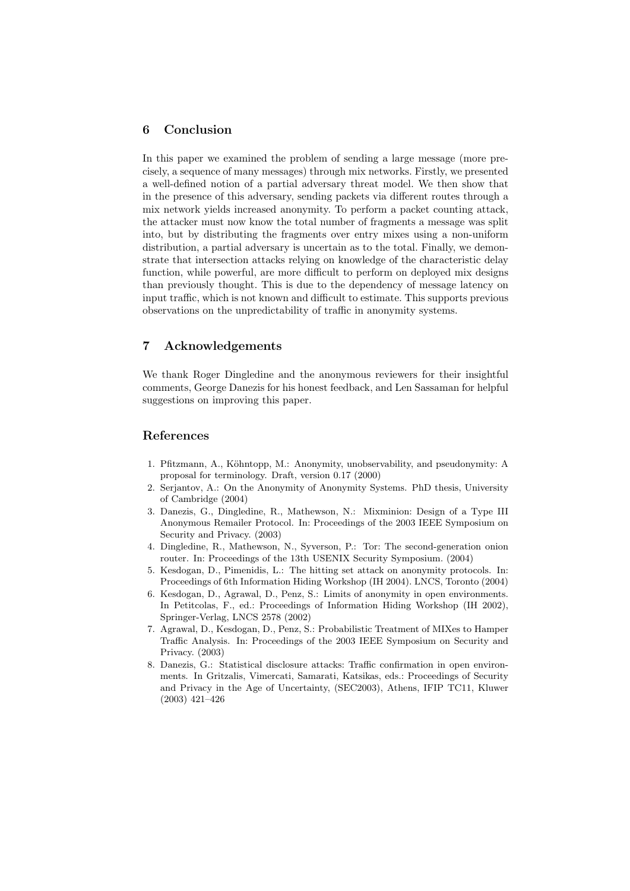# 6 Conclusion

In this paper we examined the problem of sending a large message (more precisely, a sequence of many messages) through mix networks. Firstly, we presented a well-defined notion of a partial adversary threat model. We then show that in the presence of this adversary, sending packets via different routes through a mix network yields increased anonymity. To perform a packet counting attack, the attacker must now know the total number of fragments a message was split into, but by distributing the fragments over entry mixes using a non-uniform distribution, a partial adversary is uncertain as to the total. Finally, we demonstrate that intersection attacks relying on knowledge of the characteristic delay function, while powerful, are more difficult to perform on deployed mix designs than previously thought. This is due to the dependency of message latency on input traffic, which is not known and difficult to estimate. This supports previous observations on the unpredictability of traffic in anonymity systems.

# 7 Acknowledgements

We thank Roger Dingledine and the anonymous reviewers for their insightful comments, George Danezis for his honest feedback, and Len Sassaman for helpful suggestions on improving this paper.

# References

- 1. Pfitzmann, A., Köhntopp, M.: Anonymity, unobservability, and pseudonymity: A proposal for terminology. Draft, version 0.17 (2000)
- <span id="page-13-6"></span>2. Serjantov, A.: On the Anonymity of Anonymity Systems. PhD thesis, University of Cambridge (2004)
- <span id="page-13-0"></span>3. Danezis, G., Dingledine, R., Mathewson, N.: Mixminion: Design of a Type III Anonymous Remailer Protocol. In: Proceedings of the 2003 IEEE Symposium on Security and Privacy. (2003)
- <span id="page-13-5"></span>4. Dingledine, R., Mathewson, N., Syverson, P.: Tor: The second-generation onion router. In: Proceedings of the 13th USENIX Security Symposium. (2004)
- <span id="page-13-3"></span>5. Kesdogan, D., Pimenidis, L.: The hitting set attack on anonymity protocols. In: Proceedings of 6th Information Hiding Workshop (IH 2004). LNCS, Toronto (2004)
- <span id="page-13-4"></span>6. Kesdogan, D., Agrawal, D., Penz, S.: Limits of anonymity in open environments. In Petitcolas, F., ed.: Proceedings of Information Hiding Workshop (IH 2002), Springer-Verlag, LNCS 2578 (2002)
- <span id="page-13-1"></span>7. Agrawal, D., Kesdogan, D., Penz, S.: Probabilistic Treatment of MIXes to Hamper Traffic Analysis. In: Proceedings of the 2003 IEEE Symposium on Security and Privacy. (2003)
- <span id="page-13-2"></span>8. Danezis, G.: Statistical disclosure attacks: Traffic confirmation in open environments. In Gritzalis, Vimercati, Samarati, Katsikas, eds.: Proceedings of Security and Privacy in the Age of Uncertainty, (SEC2003), Athens, IFIP TC11, Kluwer (2003) 421–426